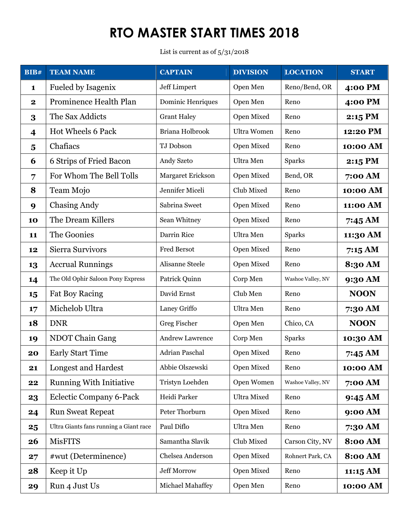List is current as of 5/31/2018

| BIB#                    | <b>TEAM NAME</b>                       | <b>CAPTAIN</b>         | <b>DIVISION</b>    | <b>LOCATION</b>   | <b>START</b>   |
|-------------------------|----------------------------------------|------------------------|--------------------|-------------------|----------------|
| $\mathbf{1}$            | Fueled by Isagenix                     | Jeff Limpert           | Open Men           | Reno/Bend, OR     | 4:00 PM        |
| $\mathbf 2$             | Prominence Health Plan                 | Dominic Henriques      | Open Men           | Reno              | 4:00 PM        |
| 3                       | The Sax Addicts                        | <b>Grant Haley</b>     | Open Mixed         | Reno              | 2:15 PM        |
| $\overline{\mathbf{4}}$ | Hot Wheels 6 Pack                      | Briana Holbrook        | <b>Ultra Women</b> | Reno              | 12:20 PM       |
| $\overline{\mathbf{5}}$ | Chafiacs                               | TJ Dobson              | Open Mixed         | Reno              | 10:00 AM       |
| 6                       | 6 Strips of Fried Bacon                | Andy Szeto             | Ultra Men          | <b>Sparks</b>     | $2:15$ PM      |
| 7                       | For Whom The Bell Tolls                | Margaret Erickson      | Open Mixed         | Bend, OR          | 7:00 AM        |
| 8                       | Team Mojo                              | Jennifer Miceli        | Club Mixed         | Reno              | 10:00 AM       |
| 9                       | <b>Chasing Andy</b>                    | Sabrina Sweet          | Open Mixed         | Reno              | 11:00 AM       |
| 10                      | The Dream Killers                      | Sean Whitney           | Open Mixed         | Reno              | 7:45 AM        |
| 11                      | The Goonies                            | Darrin Rice            | Ultra Men          | <b>Sparks</b>     | 11:30 AM       |
| 12                      | <b>Sierra Survivors</b>                | <b>Fred Bersot</b>     | Open Mixed         | Reno              | 7:15AM         |
| 13                      | <b>Accrual Runnings</b>                | Alisanne Steele        | Open Mixed         | Reno              | 8:30 AM        |
| 14                      | The Old Ophir Saloon Pony Express      | Patrick Quinn          | Corp Men           | Washoe Valley, NV | 9:30 AM        |
| 15                      | <b>Fat Boy Racing</b>                  | David Ernst            | Club Men           | Reno              | <b>NOON</b>    |
| 17                      | Michelob Ultra                         | Laney Griffo           | Ultra Men          | Reno              | 7:30 AM        |
| 18                      | <b>DNR</b>                             | Greg Fischer           | Open Men           | Chico, CA         | <b>NOON</b>    |
| 19                      | NDOT Chain Gang                        | <b>Andrew Lawrence</b> | Corp Men           | <b>Sparks</b>     | 10:30 AM       |
| 20                      | <b>Early Start Time</b>                | <b>Adrian Paschal</b>  | Open Mixed         | Reno              | 7:45 AM        |
| 21                      | Longest and Hardest                    | Abbie Olszewski        | Open Mixed         | Reno              | 10:00 AM       |
| 22                      | <b>Running With Initiative</b>         | Tristyn Loehden        | Open Women         | Washoe Valley, NV | 7:00 AM        |
| 23                      | <b>Eclectic Company 6-Pack</b>         | Heidi Parker           | <b>Ultra Mixed</b> | Reno              | 9:45 AM        |
| 24                      | <b>Run Sweat Repeat</b>                | Peter Thorburn         | Open Mixed         | Reno              | 9:00 AM        |
| 25                      | Ultra Giants fans running a Giant race | Paul Diflo             | Ultra Men          | Reno              | 7:30 AM        |
| 26                      | <b>MisFITS</b>                         | Samantha Slavik        | Club Mixed         | Carson City, NV   | <b>8:00 AM</b> |
| 27                      | #wut (Determinence)                    | Chelsea Anderson       | Open Mixed         | Rohnert Park, CA  | <b>8:00 AM</b> |
| 28                      | Keep it Up                             | <b>Jeff Morrow</b>     | Open Mixed         | Reno              | 11:15 AM       |
| 29                      | Run 4 Just Us                          | Michael Mahaffey       | Open Men           | Reno              | 10:00 AM       |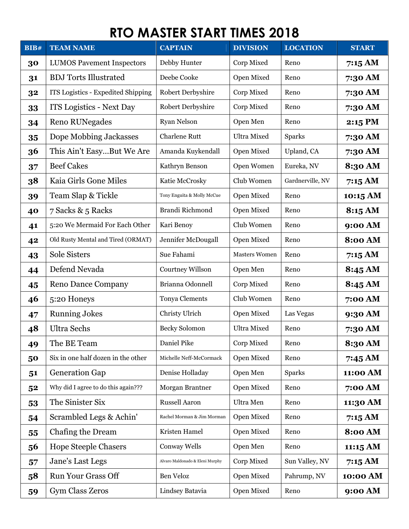| <b>BIB#</b> | <b>TEAM NAME</b>                    | <b>CAPTAIN</b>                  | <b>DIVISION</b>      | <b>LOCATION</b>  | <b>START</b>   |
|-------------|-------------------------------------|---------------------------------|----------------------|------------------|----------------|
| 30          | <b>LUMOS Pavement Inspectors</b>    | Debby Hunter                    | Corp Mixed           | Reno             | 7:15 AM        |
| 31          | <b>BDJ</b> Torts Illustrated        | Deebe Cooke                     | Open Mixed           | Reno             | 7:30 AM        |
| 32          | ITS Logistics - Expedited Shipping  | <b>Robert Derbyshire</b>        | Corp Mixed           | Reno             | 7:30 AM        |
| 33          | <b>ITS Logistics - Next Day</b>     | Robert Derbyshire               | Corp Mixed           | Reno             | 7:30 AM        |
| 34          | <b>Reno RUNegades</b>               | <b>Ryan Nelson</b>              | Open Men             | Reno             | 2:15 PM        |
| 35          | Dope Mobbing Jackasses              | <b>Charlene Rutt</b>            | <b>Ultra Mixed</b>   | <b>Sparks</b>    | 7:30 AM        |
| 36          | This Ain't EasyBut We Are           | Amanda Kuykendall               | Open Mixed           | Upland, CA       | 7:30 AM        |
| 37          | <b>Beef Cakes</b>                   | Kathryn Benson                  | Open Women           | Eureka, NV       | 8:30 AM        |
| 38          | Kaia Girls Gone Miles               | Katie McCrosky                  | Club Women           | Gardnerville, NV | 7:15AM         |
| 39          | Team Slap & Tickle                  | Tony Enguita & Molly McCue      | Open Mixed           | Reno             | 10:15 AM       |
| 40          | 7 Sacks & 5 Racks                   | Brandi Richmond                 | Open Mixed           | Reno             | 8:15 AM        |
| 41          | 5:20 We Mermaid For Each Other      | Kari Benoy                      | Club Women           | Reno             | 9:00 AM        |
| 42          | Old Rusty Mental and Tired (ORMAT)  | Jennifer McDougall              | Open Mixed           | Reno             | <b>8:00 AM</b> |
| 43          | Sole Sisters                        | Sue Fahami                      | <b>Masters Women</b> | Reno             | 7:15 AM        |
| 44          | Defend Nevada                       | Courtney Willson                | Open Men             | Reno             | 8:45 AM        |
| 45          | <b>Reno Dance Company</b>           | Brianna Odonnell                | Corp Mixed           | Reno             | 8:45 AM        |
| 46          | 5:20 Honeys                         | Tonya Clements                  | Club Women           | Reno             | 7:00 AM        |
| 47          | <b>Running Jokes</b>                | Christy Ulrich                  | Open Mixed           | Las Vegas        | 9:30 AM        |
| 48          | <b>Ultra Sechs</b>                  | <b>Becky Solomon</b>            | <b>Ultra Mixed</b>   | Reno             | 7:30 AM        |
| 49          | The BE Team                         | Daniel Pike                     | Corp Mixed           | Reno             | 8:30 AM        |
| 50          | Six in one half dozen in the other  | Michelle Neff-McCormack         | Open Mixed           | Reno             | 7:45AM         |
| 51          | <b>Generation Gap</b>               | Denise Holladay                 | Open Men             | <b>Sparks</b>    | 11:00 AM       |
| 52          | Why did I agree to do this again??? | Morgan Brantner                 | Open Mixed           | Reno             | 7:00 AM        |
| 53          | The Sinister Six                    | Russell Aaron                   | Ultra Men            | Reno             | 11:30 AM       |
| 54          | Scrambled Legs & Achin'             | Rachel Morman & Jim Morman      | Open Mixed           | Reno             | 7:15AM         |
| 55          | Chafing the Dream                   | Kristen Hamel                   | Open Mixed           | Reno             | <b>8:00 AM</b> |
| 56          | <b>Hope Steeple Chasers</b>         | Conway Wells                    | Open Men             | Reno             | 11:15 AM       |
| 57          | Jane's Last Legs                    | Alvaro Maldonado & Eleni Murphy | Corp Mixed           | Sun Valley, NV   | 7:15AM         |
| 58          | <b>Run Your Grass Off</b>           | Ben Veloz                       | Open Mixed           | Pahrump, NV      | 10:00 AM       |
| 59          | Gym Class Zeros                     | Lindsey Batavia                 | Open Mixed           | Reno             | 9:00 AM        |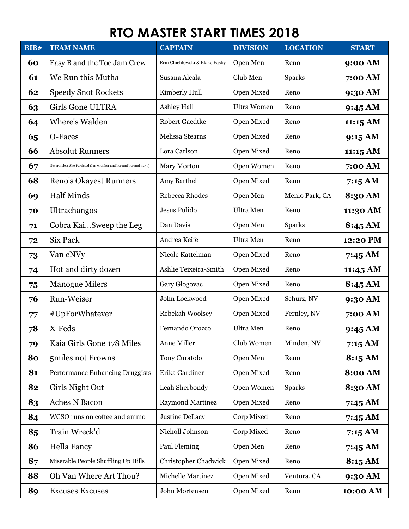| BIB# | <b>TEAM NAME</b>                                                  | <b>CAPTAIN</b>                 | <b>DIVISION</b>    | <b>LOCATION</b> | <b>START</b>      |
|------|-------------------------------------------------------------------|--------------------------------|--------------------|-----------------|-------------------|
| 60   | Easy B and the Toe Jam Crew                                       | Erin Chichlowski & Blake Easby | Open Men           | Reno            | 9:00 AM           |
| 61   | We Run this Mutha                                                 | Susana Alcala                  | Club Men           | <b>Sparks</b>   | 7:00 AM           |
| 62   | <b>Speedy Snot Rockets</b>                                        | Kimberly Hull                  | Open Mixed         | Reno            | 9:30 AM           |
| 63   | <b>Girls Gone ULTRA</b>                                           | Ashley Hall                    | <b>Ultra Women</b> | Reno            | 9:45 AM           |
| 64   | Where's Walden                                                    | <b>Robert Gaedtke</b>          | Open Mixed         | Reno            | 11:15 AM          |
| 65   | O-Faces                                                           | Melissa Stearns                | Open Mixed         | Reno            | 9:15 AM           |
| 66   | <b>Absolut Runners</b>                                            | Lora Carlson                   | Open Mixed         | Reno            | 11:15 AM          |
| 67   | Nevertheless She Persisted (I'm with her and her and her and her) | Mary Morton                    | Open Women         | Reno            | 7:00 AM           |
| 68   | <b>Reno's Okayest Runners</b>                                     | Amy Barthel                    | Open Mixed         | Reno            | 7:15AM            |
| 69   | <b>Half Minds</b>                                                 | Rebecca Rhodes                 | Open Men           | Menlo Park, CA  | 8:30 AM           |
| 70   | Ultrachangos                                                      | Jesus Pulido                   | Ultra Men          | Reno            | 11:30 AM          |
| 71   | Cobra KaiSweep the Leg                                            | Dan Davis                      | Open Men           | <b>Sparks</b>   | 8:45 AM           |
| 72   | Six Pack                                                          | Andrea Keife                   | Ultra Men          | Reno            | 12:20 PM          |
| 73   | Van eNVy                                                          | Nicole Kattelman               | Open Mixed         | Reno            | 7:45 AM           |
| 74   | Hot and dirty dozen                                               | Ashlie Teixeira-Smith          | Open Mixed         | Reno            | 11:45 AM          |
| 75   | <b>Manogue Milers</b>                                             | Gary Glogovac                  | Open Mixed         | Reno            | 8:45 AM           |
| 76   | Run-Weiser                                                        | John Lockwood                  | Open Mixed         | Schurz, NV      | 9:30 AM           |
| 77   | #UpForWhatever                                                    | Rebekah Woolsey                | Open Mixed         | Fernley, NV     | 7:00 AM           |
| 78   | X-Feds                                                            | Fernando Orozco                | Ultra Men          | Reno            | $9:45 \text{ AM}$ |
| 79   | Kaia Girls Gone 178 Miles                                         | Anne Miller                    | Club Women         | Minden, NV      | 7:15 AM           |
| 80   | 5 miles not Frowns                                                | Tony Curatolo                  | Open Men           | Reno            | 8:15 AM           |
| 81   | Performance Enhancing Druggists                                   | Erika Gardiner                 | Open Mixed         | Reno            | <b>8:00 AM</b>    |
| 82   | Girls Night Out                                                   | Leah Sherbondy                 | Open Women         | <b>Sparks</b>   | 8:30 AM           |
| 83   | <b>Aches N Bacon</b>                                              | <b>Raymond Martinez</b>        | Open Mixed         | Reno            | 7:45 AM           |
| 84   | WCSO runs on coffee and ammo                                      | <b>Justine DeLacy</b>          | Corp Mixed         | Reno            | 7:45 AM           |
| 85   | Train Wreck'd                                                     | Nicholl Johnson                | Corp Mixed         | Reno            | 7:15AM            |
| 86   | <b>Hella Fancy</b>                                                | Paul Fleming                   | Open Men           | Reno            | 7:45 AM           |
| 87   | Miserable People Shuffling Up Hills                               | Christopher Chadwick           | Open Mixed         | Reno            | 8:15 AM           |
| 88   | Oh Van Where Art Thou?                                            | Michelle Martinez              | Open Mixed         | Ventura, CA     | 9:30 AM           |
| 89   | <b>Excuses Excuses</b>                                            | John Mortensen                 | Open Mixed         | Reno            | 10:00 AM          |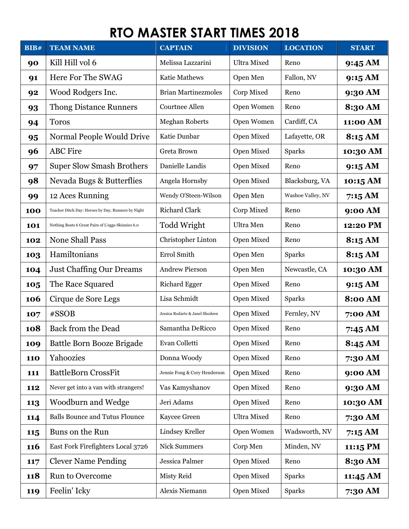| <b>BIB#</b> | <b>TEAM NAME</b>                                   | <b>CAPTAIN</b>                  | <b>DIVISION</b>    | <b>LOCATION</b>   | <b>START</b>       |
|-------------|----------------------------------------------------|---------------------------------|--------------------|-------------------|--------------------|
| 90          | Kill Hill vol 6                                    | Melissa Lazzarini               | <b>Ultra Mixed</b> | Reno              | 9:45 AM            |
| 91          | Here For The SWAG                                  | Katie Mathews                   | Open Men           | Fallon, NV        | 9:15 AM            |
| 92          | Wood Rodgers Inc.                                  | <b>Brian Martinezmoles</b>      | Corp Mixed         | Reno              | 9:30 AM            |
| 93          | <b>Thong Distance Runners</b>                      | <b>Courtnee Allen</b>           | Open Women         | Reno              | 8:30 AM            |
| 94          | <b>Toros</b>                                       | <b>Meghan Roberts</b>           | Open Women         | Cardiff, CA       | 11:00 AM           |
| 95          | Normal People Would Drive                          | Katie Dunbar                    | Open Mixed         | Lafayette, OR     | 8:15 AM            |
| 96          | <b>ABC</b> Fire                                    | Greta Brown                     | Open Mixed         | <b>Sparks</b>     | 10:30 AM           |
| 97          | <b>Super Slow Smash Brothers</b>                   | Danielle Landis                 | Open Mixed         | Reno              | 9:15 AM            |
| 98          | Nevada Bugs & Butterflies                          | Angela Hornsby                  | Open Mixed         | Blacksburg, VA    | 10:15 AM           |
| 99          | 12 Aces Running                                    | Wendy O'Steen-Wilson            | Open Men           | Washoe Valley, NV | 7:15AM             |
| 100         | Teacher Ditch Day: Heroes by Day, Runners by Night | <b>Richard Clark</b>            | Corp Mixed         | Reno              | 9:00 AM            |
| 101         | Nothing Beats 6 Great Pairs of L'eggs-Skinnies 6.0 | Todd Wright                     | Ultra Men          | Reno              | 12:20 PM           |
| 102         | <b>None Shall Pass</b>                             | Christopher Linton              | Open Mixed         | Reno              | 8:15 AM            |
| 103         | Hamiltonians                                       | Errol Smith                     | Open Men           | Sparks            | 8:15 AM            |
| 104         | <b>Just Chaffing Our Dreams</b>                    | <b>Andrew Pierson</b>           | Open Men           | Newcastle, CA     | 10:30 AM           |
| 105         | The Race Squared                                   | <b>Richard Egger</b>            | Open Mixed         | Reno              | 9:15 AM            |
| 106         | Cirque de Sore Legs                                | Lisa Schmidt                    | Open Mixed         | <b>Sparks</b>     | <b>8:00 AM</b>     |
| 107         | #SSOB                                              | Jessica Rodarte & Janel Shodeen | Open Mixed         | Fernley, NV       | 7:00 AM            |
| 108         | <b>Back from the Dead</b>                          | Samantha DeRicco                | Open Mixed         | Reno              | 7:45 AM            |
| 109         | Battle Born Booze Brigade                          | Evan Colletti                   | Open Mixed         | Reno              | 8:45 AM            |
| <b>110</b>  | Yahoozies                                          | Donna Woody                     | Open Mixed         | Reno              | 7:30 AM            |
| 111         | <b>BattleBorn CrossFit</b>                         | Jennie Fong & Cory Henderson    | Open Mixed         | Reno              | 9:00 AM            |
| 112         | Never get into a van with strangers!               | Vas Kamyshanov                  | Open Mixed         | Reno              | 9:30 AM            |
| 113         | Woodburn and Wedge                                 | Jeri Adams                      | Open Mixed         | Reno              | 10:30 AM           |
| 114         | <b>Balls Bounce and Tutus Flounce</b>              | Kaycee Green                    | <b>Ultra Mixed</b> | Reno              | 7:30 AM            |
| 115         | Buns on the Run                                    | <b>Lindsey Kreller</b>          | Open Women         | Wadsworth, NV     | 7:15AM             |
| 116         | East Fork Firefighters Local 3726                  | <b>Nick Summers</b>             | Corp Men           | Minden, NV        | 11:15 PM           |
| 117         | <b>Clever Name Pending</b>                         | Jessica Palmer                  | Open Mixed         | Reno              | 8:30 AM            |
| <b>118</b>  | <b>Run to Overcome</b>                             | Misty Reid                      | Open Mixed         | <b>Sparks</b>     | $11:45 \text{ AM}$ |
| 119         | Feelin' Icky                                       | Alexis Niemann                  | Open Mixed         | <b>Sparks</b>     | 7:30 AM            |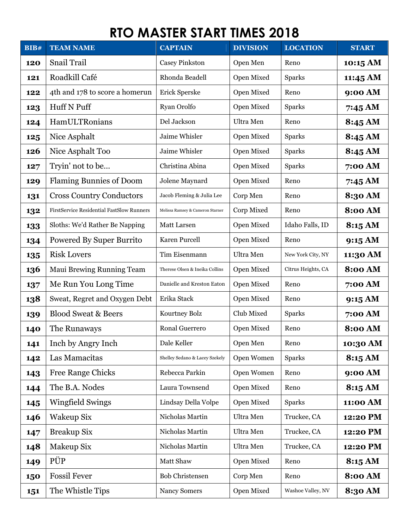| BIB# | <b>TEAM NAME</b>                                 | <b>CAPTAIN</b>                   | <b>DIVISION</b> | <b>LOCATION</b>    | <b>START</b>   |
|------|--------------------------------------------------|----------------------------------|-----------------|--------------------|----------------|
| 120  | Snail Trail                                      | <b>Casey Pinkston</b>            | Open Men        | Reno               | 10:15 AM       |
| 121  | Roadkill Café                                    | Rhonda Beadell                   | Open Mixed      | <b>Sparks</b>      | 11:45 AM       |
| 122  | 4th and 178 to score a homerun                   | Erick Sperske                    | Open Mixed      | Reno               | 9:00 AM        |
| 123  | Huff N Puff                                      | Ryan Orolfo                      | Open Mixed      | <b>Sparks</b>      | 7:45 AM        |
| 124  | HamULTRonians                                    | Del Jackson                      | Ultra Men       | Reno               | 8:45 AM        |
| 125  | Nice Asphalt                                     | Jaime Whisler                    | Open Mixed      | <b>Sparks</b>      | 8:45 AM        |
| 126  | Nice Asphalt Too                                 | Jaime Whisler                    | Open Mixed      | Sparks             | 8:45 AM        |
| 127  | Tryin' not to be                                 | Christina Abina                  | Open Mixed      | <b>Sparks</b>      | 7:00 AM        |
| 129  | <b>Flaming Bunnies of Doom</b>                   | Jolene Maynard                   | Open Mixed      | Reno               | 7:45 AM        |
| 131  | <b>Cross Country Conductors</b>                  | Jacob Fleming & Julia Lee        | Corp Men        | Reno               | 8:30 AM        |
| 132  | <b>FirstService Residential FastSlow Runners</b> | Melissa Ramsey & Cameron Starner | Corp Mixed      | Reno               | <b>8:00 AM</b> |
| 133  | Sloths: We'd Rather Be Napping                   | Matt Larsen                      | Open Mixed      | Idaho Falls, ID    | 8:15 AM        |
| 134  | Powered By Super Burrito                         | Karen Purcell                    | Open Mixed      | Reno               | 9:15 AM        |
| 135  | <b>Risk Lovers</b>                               | Tim Eisenmann                    | Ultra Men       | New York City, NY  | 11:30 AM       |
| 136  | Maui Brewing Running Team                        | Therese Olsen & Ineika Collins   | Open Mixed      | Citrus Heights, CA | <b>8:00 AM</b> |
| 137  | Me Run You Long Time                             | Danielle and Kreston Eaton       | Open Mixed      | Reno               | 7:00 AM        |
| 138  | Sweat, Regret and Oxygen Debt                    | Erika Stack                      | Open Mixed      | Reno               | 9:15 AM        |
| 139  | <b>Blood Sweat &amp; Beers</b>                   | Kourtney Bolz                    | Club Mixed      | <b>Sparks</b>      | 7:00 AM        |
| 140  | The Runaways                                     | Ronal Guerrero                   | Open Mixed      | Reno               | <b>8:00 AM</b> |
| 141  | Inch by Angry Inch                               | Dale Keller                      | Open Men        | Reno               | 10:30 AM       |
| 142  | Las Mamacitas                                    | Shelley Sedano & Lacey Szekely   | Open Women      | <b>Sparks</b>      | 8:15 AM        |
| 143  | <b>Free Range Chicks</b>                         | Rebecca Parkin                   | Open Women      | Reno               | 9:00 AM        |
| 144  | The B.A. Nodes                                   | Laura Townsend                   | Open Mixed      | Reno               | 8:15 AM        |
| 145  | Wingfield Swings                                 | Lindsay Della Volpe              | Open Mixed      | <b>Sparks</b>      | 11:00 AM       |
| 146  | Wakeup Six                                       | Nicholas Martin                  | Ultra Men       | Truckee, CA        | 12:20 PM       |
| 147  | <b>Breakup Six</b>                               | Nicholas Martin                  | Ultra Men       | Truckee, CA        | 12:20 PM       |
| 148  | Makeup Six                                       | Nicholas Martin                  | Ultra Men       | Truckee, CA        | 12:20 PM       |
| 149  | PÜP                                              | Matt Shaw                        | Open Mixed      | Reno               | 8:15 AM        |
| 150  | <b>Fossil Fever</b>                              | <b>Bob Christensen</b>           | Corp Men        | Reno               | <b>8:00 AM</b> |
| 151  | The Whistle Tips                                 | Nancy Somers                     | Open Mixed      | Washoe Valley, NV  | 8:30 AM        |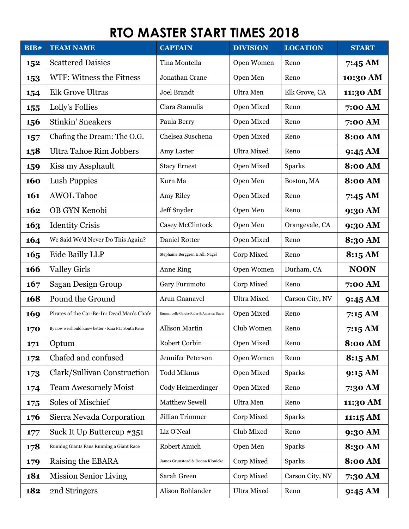| BIB# | <b>TEAM NAME</b>                                   | <b>CAPTAIN</b>                          | <b>DIVISION</b>    | <b>LOCATION</b> | <b>START</b>   |
|------|----------------------------------------------------|-----------------------------------------|--------------------|-----------------|----------------|
| 152  | <b>Scattered Daisies</b>                           | Tina Montella                           | Open Women         | Reno            | 7:45 AM        |
| 153  | WTF: Witness the Fitness                           | Jonathan Crane                          | Open Men           | Reno            | 10:30 AM       |
| 154  | <b>Elk Grove Ultras</b>                            | <b>Joel Brandt</b>                      | Ultra Men          | Elk Grove, CA   | 11:30 AM       |
| 155  | Lolly's Follies                                    | Clara Stamulis                          | Open Mixed         | Reno            | 7:00 AM        |
| 156  | <b>Stinkin' Sneakers</b>                           | Paula Berry                             | Open Mixed         | Reno            | 7:00 AM        |
| 157  | Chafing the Dream: The O.G.                        | Chelsea Suschena                        | Open Mixed         | Reno            | <b>8:00 AM</b> |
| 158  | <b>Ultra Tahoe Rim Jobbers</b>                     | Amy Laster                              | <b>Ultra Mixed</b> | Reno            | 9:45 AM        |
| 159  | Kiss my Assphault                                  | <b>Stacy Ernest</b>                     | Open Mixed         | Sparks          | <b>8:00 AM</b> |
| 160  | Lush Puppies                                       | Kurn Ma                                 | Open Men           | Boston, MA      | <b>8:00 AM</b> |
| 161  | <b>AWOL Tahoe</b>                                  | Amy Riley                               | Open Mixed         | Reno            | 7:45 AM        |
| 162  | OB GYN Kenobi                                      | Jeff Snyder                             | Open Men           | Reno            | 9:30 AM        |
| 163  | <b>Identity Crisis</b>                             | Casey McClintock                        | Open Men           | Orangevale, CA  | 9:30 AM        |
| 164  | We Said We'd Never Do This Again?                  | Daniel Rotter                           | Open Mixed         | Reno            | 8:30 AM        |
| 165  | Eide Bailly LLP                                    | Stephanie Berggren & Alli Nagel         | Corp Mixed         | Reno            | 8:15 AM        |
| 166  | <b>Valley Girls</b>                                | <b>Anne Ring</b>                        | Open Women         | Durham, CA      | <b>NOON</b>    |
| 167  | Sagan Design Group                                 | Gary Furumoto                           | Corp Mixed         | Reno            | 7:00 AM        |
| 168  | Pound the Ground                                   | Arun Gnanavel                           | <b>Ultra Mixed</b> | Carson City, NV | 9:45 AM        |
| 169  | Pirates of the Car-Be-In: Dead Man's Chafe         | Emmanuelle Garcia-Rider & America Davis | Open Mixed         | Reno            | 7:15 AM        |
| 170  | By now we should know better - Kaia FIT South Reno | <b>Allison Martin</b>                   | Club Women         | Reno            | 7:15 AM        |
| 171  | Optum                                              | Robert Corbin                           | Open Mixed         | Reno            | <b>8:00 AM</b> |
| 172  | Chafed and confused                                | Jennifer Peterson                       | Open Women         | Reno            | 8:15 AM        |
| 173  | Clark/Sullivan Construction                        | <b>Todd Miknus</b>                      | Open Mixed         | <b>Sparks</b>   | 9:15 AM        |
| 174  | <b>Team Awesomely Moist</b>                        | Cody Heimerdinger                       | Open Mixed         | Reno            | 7:30 AM        |
| 175  | Soles of Mischief                                  | <b>Matthew Sewell</b>                   | Ultra Men          | Reno            | 11:30 AM       |
| 176  | Sierra Nevada Corporation                          | <b>Jillian Trimmer</b>                  | Corp Mixed         | <b>Sparks</b>   | 11:15 AM       |
| 177  | Suck It Up Buttercup #351                          | Liz O'Neal                              | Club Mixed         | Reno            | 9:30 AM        |
| 178  | Running Giants Fans Running a Giant Race           | Robert Amich                            | Open Men           | <b>Sparks</b>   | 8:30 AM        |
| 179  | Raising the EBARA                                  | James Grunstead & Deona Klonicke        | Corp Mixed         | <b>Sparks</b>   | <b>8:00 AM</b> |
| 181  | <b>Mission Senior Living</b>                       | Sarah Green                             | Corp Mixed         | Carson City, NV | 7:30 AM        |
| 182  | 2nd Stringers                                      | Alison Bohlander                        | <b>Ultra Mixed</b> | Reno            | 9:45 AM        |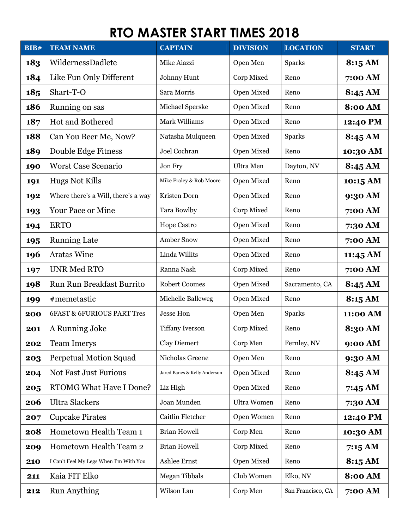| BIB# | <b>TEAM NAME</b>                       | <b>CAPTAIN</b>               | <b>DIVISION</b>    | <b>LOCATION</b>   | <b>START</b>       |
|------|----------------------------------------|------------------------------|--------------------|-------------------|--------------------|
| 183  | WildernessDadlete                      | Mike Aiazzi                  | Open Men           | <b>Sparks</b>     | 8:15 AM            |
| 184  | Like Fun Only Different                | Johnny Hunt                  | Corp Mixed         | Reno              | 7:00 AM            |
| 185  | Shart-T-O                              | Sara Morris                  | Open Mixed         | Reno              | 8:45 AM            |
| 186  | Running on sas                         | Michael Sperske              | Open Mixed         | Reno              | <b>8:00 AM</b>     |
| 187  | <b>Hot and Bothered</b>                | Mark Williams                | Open Mixed         | Reno              | 12:40 PM           |
| 188  | Can You Beer Me, Now?                  | Natasha Mulqueen             | Open Mixed         | <b>Sparks</b>     | 8:45 AM            |
| 189  | Double Edge Fitness                    | Joel Cochran                 | Open Mixed         | Reno              | 10:30 AM           |
| 190  | <b>Worst Case Scenario</b>             | Jon Fry                      | Ultra Men          | Dayton, NV        | 8:45 AM            |
| 191  | <b>Hugs Not Kills</b>                  | Mike Fraley & Rob Moore      | Open Mixed         | Reno              | 10:15 AM           |
| 192  | Where there's a Will, there's a way    | Kristen Dorn                 | Open Mixed         | Reno              | 9:30 AM            |
| 193  | <b>Your Pace or Mine</b>               | Tara Bowlby                  | Corp Mixed         | Reno              | 7:00 AM            |
| 194  | <b>ERTO</b>                            | <b>Hope Castro</b>           | Open Mixed         | Reno              | 7:30 AM            |
| 195  | <b>Running Late</b>                    | <b>Amber Snow</b>            | Open Mixed         | Reno              | 7:00 AM            |
| 196  | <b>Aratas Wine</b>                     | Linda Willits                | Open Mixed         | Reno              | $11:45 \text{ AM}$ |
| 197  | <b>UNR Med RTO</b>                     | Ranna Nash                   | Corp Mixed         | Reno              | 7:00 AM            |
| 198  | <b>Run Run Breakfast Burrito</b>       | <b>Robert Coomes</b>         | Open Mixed         | Sacramento, CA    | 8:45 AM            |
| 199  | #memetastic                            | Michelle Balleweg            | Open Mixed         | Reno              | 8:15 AM            |
| 200  | <b>6FAST &amp; 6FURIOUS PART Tres</b>  | <b>Jesse Hon</b>             | Open Men           | <b>Sparks</b>     | 11:00 AM           |
| 201  | A Running Joke                         | <b>Tiffany Iverson</b>       | Corp Mixed         | Reno              | 8:30 AM            |
| 202  | <b>Team Imerys</b>                     | <b>Clay Diemert</b>          | Corp Men           | Fernley, NV       | 9:00 AM            |
| 203  | <b>Perpetual Motion Squad</b>          | Nicholas Greene              | Open Men           | Reno              | 9:30 AM            |
| 204  | <b>Not Fast Just Furious</b>           | Jared Banes & Kelly Anderson | Open Mixed         | Reno              | 8:45 AM            |
| 205  | <b>RTOMG What Have I Done?</b>         | Liz High                     | Open Mixed         | Reno              | 7:45 AM            |
| 206  | <b>Ultra Slackers</b>                  | Joan Munden                  | <b>Ultra Women</b> | Reno              | 7:30 AM            |
| 207  | <b>Cupcake Pirates</b>                 | Caitlin Fletcher             | Open Women         | Reno              | 12:40 PM           |
| 208  | Hometown Health Team 1                 | <b>Brian Howell</b>          | Corp Men           | Reno              | 10:30 AM           |
| 209  | Hometown Health Team 2                 | <b>Brian Howell</b>          | Corp Mixed         | Reno              | 7:15AM             |
| 210  | I Can't Feel My Legs When I'm With You | Ashlee Ernst                 | Open Mixed         | Reno              | 8:15 AM            |
| 211  | Kaia FIT Elko                          | Megan Tibbals                | Club Women         | Elko, NV          | <b>8:00 AM</b>     |
| 212  | <b>Run Anything</b>                    | Wilson Lau                   | Corp Men           | San Francisco, CA | 7:00 AM            |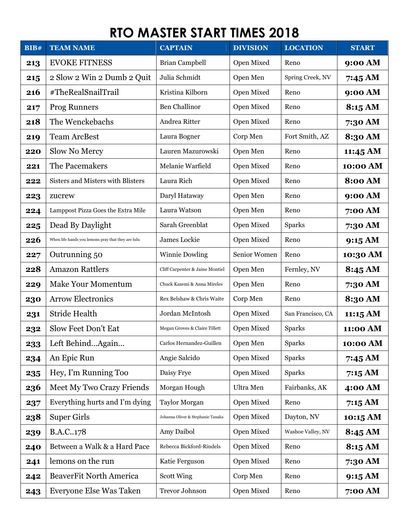| BIB# | <b>TEAM NAME</b>                                   | <b>CAPTAIN</b>                    | <b>DIVISION</b> | <b>LOCATION</b>   | <b>START</b>   |
|------|----------------------------------------------------|-----------------------------------|-----------------|-------------------|----------------|
| 213  | <b>EVOKE FITNESS</b>                               | <b>Brian Campbell</b>             | Open Mixed      | Reno              | 9:00 AM        |
| 215  | 2 Slow 2 Win 2 Dumb 2 Quit                         | Julia Schmidt                     | Open Men        | Spring Creek, NV  | 7:45 AM        |
| 216  | #TheRealSnailTrail                                 | Kristina Kilborn                  | Open Mixed      | Reno              | 9:00 AM        |
| 217  | <b>Prog Runners</b>                                | <b>Ben Challinor</b>              | Open Mixed      | Reno              | 8:15 AM        |
| 218  | The Wenckebachs                                    | Andrea Ritter                     | Open Mixed      | Reno              | 7:30 AM        |
| 219  | <b>Team ArcBest</b>                                | Laura Bogner                      | Corp Men        | Fort Smith, AZ    | 8:30 AM        |
| 220  | Slow No Mercy                                      | Lauren Mazurowski                 | Open Men        | Reno              | 11:45 AM       |
| 221  | The Pacemakers                                     | Melanie Warfield                  | Open Mixed      | Reno              | 10:00 AM       |
| 222  | Sisters and Misters with Blisters                  | Laura Rich                        | Open Mixed      | Reno              | <b>8:00 AM</b> |
| 223  | zucrew                                             | Daryl Hataway                     | Open Men        | Reno              | 9:00 AM        |
| 224  | Lamppost Pizza Goes the Extra Mile                 | Laura Watson                      | Open Men        | Reno              | 7:00 AM        |
| 225  | Dead By Daylight                                   | Sarah Greenblat                   | Open Mixed      | <b>Sparks</b>     | 7:30 AM        |
| 226  | When life hands you lemons pray that they are lulu | James Lockie                      | Open Mixed      | Reno              | 9:15 AM        |
| 227  | Outrunning 50                                      | <b>Winnie Dowling</b>             | Senior Women    | Reno              | 10:30 AM       |
| 228  | <b>Amazon Rattlers</b>                             | Cliff Carpenter & Jaine Montiel   | Open Men        | Fernley, NV       | 8:45 AM        |
| 229  | <b>Make Your Momentum</b>                          | Chuck Kazemi & Anna Mireles       | Open Men        | Reno              | 7:30 AM        |
| 230  | <b>Arrow Electronics</b>                           | Rex Belshaw & Chris Waite         | Corp Men        | Reno              | 8:30 AM        |
| 231  | <b>Stride Health</b>                               | Jordan McIntosh                   | Open Mixed      | San Francisco, CA | 11:15 AM       |
| 232  | Slow Feet Don't Eat                                | Megan Groves & Claire Tillett     | Open Mixed      | <b>Sparks</b>     | 11:00 AM       |
| 233  | Left BehindAgain                                   | Carlos Hernandez-Guillen          | Open Men        | <b>Sparks</b>     | 10:00 AM       |
| 234  | An Epic Run                                        | Angie Salcido                     | Open Mixed      | <b>Sparks</b>     | 7:45 AM        |
| 235  | Hey, I'm Running Too                               | Daisy Frye                        | Open Mixed      | <b>Sparks</b>     | 7:15AM         |
| 236  | Meet My Two Crazy Friends                          | Morgan Hough                      | Ultra Men       | Fairbanks, AK     | 4:00 AM        |
| 237  | Everything hurts and I'm dying                     | <b>Taylor Morgan</b>              | Open Mixed      | Reno              | 7:15 AM        |
| 238  | <b>Super Girls</b>                                 | Johanna Oliver & Stephanie Tanaka | Open Mixed      | Dayton, NV        | 10:15 AM       |
| 239  | B.A.C178                                           | Amy Daibol                        | Open Mixed      | Washoe Valley, NV | 8:45 AM        |
| 240  | Between a Walk & a Hard Pace                       | Rebecca Bickford-Rindels          | Open Mixed      | Reno              | 8:15 AM        |
| 241  | lemons on the run                                  | Katie Ferguson                    | Open Mixed      | Reno              | 7:30 AM        |
| 242  | BeaverFit North America                            | <b>Scott Wing</b>                 | Corp Men        | Reno              | 9:15 AM        |
| 243  | Everyone Else Was Taken                            | <b>Trevor Johnson</b>             | Open Mixed      | Reno              | 7:00 AM        |